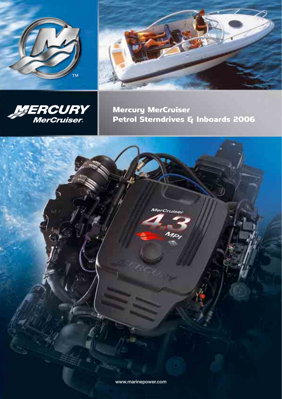





Mercury MerCruiser Petrol Sterndrives & Inboards 2006

MerCruiser



 $M_{D_f}$ 

**www.marinepower.com**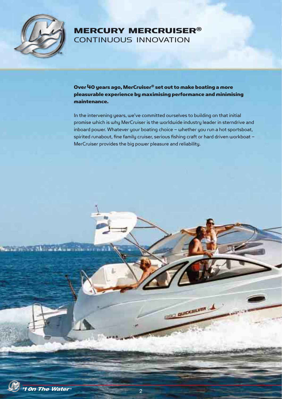

# MERCURY MERCRUISER® CONTINUOUS INNOVATION

Over 40 years ago, MerCruiser® set out to make boating a more pleasurable experience by maximising performance and minimising maintenance.

In the intervening years, we've committed ourselves to building on that initial promise which is why MerCruiser is the worldwide industry leader in sterndrive and inboard power. Whatever your boating choice – whether you run a hot sportsboat, spirited runabout, fine family cruiser, serious fishing craft or hard driven workboat – MerCruiser provides the big power pleasure and reliability.

**BOO QUICKSILVER** 



**Marshall** 

 $\frac{1}{2}$  ,  $\frac{1}{2}$  ,  $\frac{1}{2}$  ,  $\frac{1}{2}$  ,  $\frac{1}{2}$  ,  $\frac{1}{2}$  ,  $\frac{1}{2}$  ,  $\frac{1}{2}$  ,  $\frac{1}{2}$  ,  $\frac{1}{2}$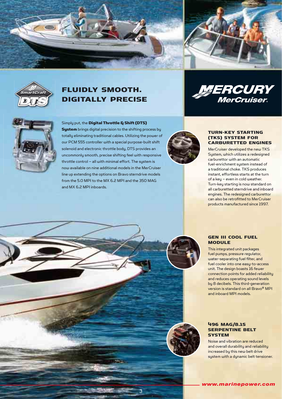

3



# FLUIDLY SMOOTH. DIGITALLY PRECISE





### Simply put, the Digital Throttle & Shift (DTS)

System brings digital precision to the shifting process by totally eliminating traditional cables. Utilizing the power of our PCM 555 controller with a special purpose-built shift solenoid and electronic throttle body, DTS provides an uncommonly smooth, precise shifting feel with responsive throttle control – all with minimal effort. The sustem is now available on nine additional models in the MerCruiser line up extending the options on Bravo sterndrive models from the 5.0 MPI to the MX 6.2 MPI and the 350 MAG and MX 6.2 MPI inboards.



#### TURN-KEY STARTING (TKS) SYSTEM FOR CARBURETTED ENGINES

MerCruiser developed the new TKS Sustem, which utilizes a redesigned carburettor with an automatic fuel-enrichment system instead of a traditional choke. TKS produces instant, effortless starts at the turn of a key – even in cold weather. Turn-key starting is now standard on all carburetted sterndrive and inboard engines. The redesigned carburettor can also be retrofitted to MerCruiser products manufactured since 1997.

## GEN III COOL FUEL MODULE

This integrated unit packages fuel pumps, pressure regulator, water-separating fuel filter, and fuel cooler into one easy-to-access unit. The design boasts 16 fewer connection points for added reliability and reduces operating sound levels by 8 decibels. This third-generation version is standard on all Bravo® MPI and inboard MPI models.

#### 496 MAG/8.1S SERPENTINE BELT **SYSTEM**

Noise and vibration are reduced and overall durability and reliability increased by this new belt drive system with a dynamic belt tensioner.

*www.marinepower.com*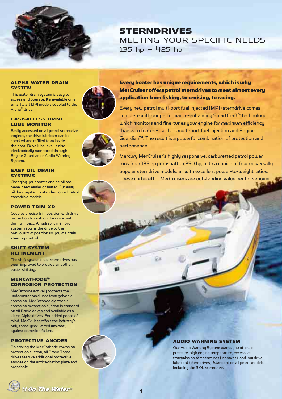

**STERNDRIVES** MEETING YOUR SPECIFIC NEEDS 135 hp – 425 hp

#### ALPHA WATER DRAIN **SYSTEM**

This water drain system is easy to access and operate. It's available on all SmartCraft MPI models coupled to the Alpha® drive.

#### EASY-ACCESS DRIVE LUBE MONITOR

Easily accessed on all petrol sterndrive engines, the drive lubricant can be checked and refilled from inside the boat. Drive lube level is also electronically monitored through Engine Guardian or Audio Warning Sustem.

### EASY OIL DRAIN **SYSTEMS**

Changing your boat's engine oil has never been easier or faster. Our easy oil drain system is standard on all petrol sterndrive models.

## POWER TRIM XD

Couples precise trim position with drive protection to cushion the drive unit during impact. A hydraulic memory system returns the drive to the previous trim position so you maintain steering control.

#### SHIFT SYSTEM REFINEMENT

The shift system on all sterndrives has been improved to provide smoother, easier shifting.

## MERCATHODE® CORROSION PROTECTION

MerCathode actively protects the underwater hardware from galvanic corrosion. MerCathode electronic corrosion protection system is standard on all Bravo drives and available as a kit on Alpha drives. For added peace of mind, MerCruiser offers the industry's only three-year limited warranty against corrosion failure.

## PROTECTIVE ANODES

Bolstering the MerCathode corrosion protection system, all Bravo Three drives feature additional protective anodes on the anticavitation plate and propshaft.



Every boater has unique requirements, which is why MerCruiser offers petrol sterndrives to meet almost every application from fishing, to cruising, to racing.

Every new petrol multi-port fuel injected (MPI) sterndrive comes complete with our performance-enhancing SmartCraft® technology which monitors and fine-tunes your engine for maximum efficiency thanks to features such as multi-port fuel injection and Engine Guardian™. The result is a powerful combination of protection and performance.

Mercury MerCruiser's highly responsive, carburetted petrol power runs from 135 hp propshaft to 250 hp, with a choice of four universally popular sterndrive models, all with excellent power-to-weight ratios. These carburettor MerCruisers are outstanding value per horsepower.

#### AUDIO WARNING SYSTEM

Our Audio Warning System warns you of low oil pressure, high engine temperature, excessive transmission temperatures (inboards), and low drive lubricant (sterndrives). Standard on all petrol models, including the 3.0L sterndrive.

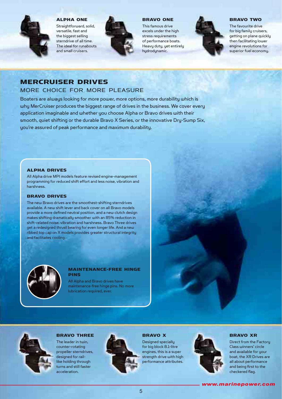

ALPHA ONE

Straightforward, solid, versatile, fast and the biggest selling sterndrive of all time. The ideal for runabouts and small cruisers.



#### BRAVO ONE

This famous drive excels under the high stress requirements of performance boats. Heavy duty, yet entirely hudrodunamic.



#### BRAVO TWO

The favourite drive for big family cruisers, getting on plane quickly then facilitating lower engine revolutions for superior fuel economy.

# MERCRUISER DRIVES

## MORE CHOICE FOR MORE PLEASURE

Boaters are always looking for more power, more options, more durability which is why MerCruiser produces the biggest range of drives in the business. We cover every application imaginable and whether you choose Alpha or Bravo drives with their smooth, quiet shifting or the durable Bravo X Series, or the innovative Dry-Sump Six, you're assured of peak performance and maximum durability.

#### ALPHA DRIVES

All Alpha drive MPI models feature revised engine-management programming for reduced shift effort and less noise, vibration and harshness.

### BRAVO DRIVES

The new Bravo drives are the smoothest-shifting sterndrives available. A new shift lever and back cover on all Bravo models provide a more defined neutral position, and a new clutch design makes shifting dramatically smoother with an 85% reduction in shift-related noise, vibration and harshness. Bravo Three drives get a redesigned thrust bearing for even longer life. And a new ribbed top cap on X models provides greater structural integrity and facilitates cooling.



#### MAINTENANCE-FREE HINGE PINS

All Alpha and Bravo drives have maintenance-free hinge pins. No more lubrication required, ever.



### BRAVO THREE

The leader in twin, counter-rotating propeller sterndrives, designed for raillike holding through turns and still faster acceleration.



#### BRAVO X

Designed specially for big block 8.1-litre engines, this is a super strength drive with high performance attributes.



#### BRAVO XR

Direct from the Factory Class winners' circle and available for your boat, the XR Drives are all about performance and being first to the checkered flag.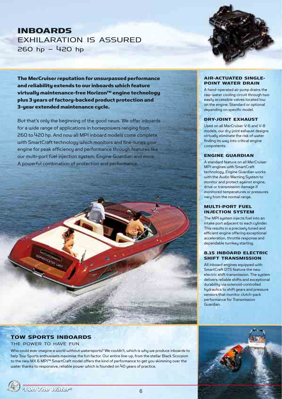# INBOARDS EXHILARATION IS ASSURED 260 hp – 420 hp



The MerCruiser reputation for unsurpassed performance and reliability extends to our inboards which feature virtually maintenance-free Horizon™ engine technology plus 3 years of factory-backed product protection and 3-year extended maintenance cycle.

But that's only the beginning of the good news. We offer inboards for a wide range of applications in horsepowers ranging from 260 to 420 hp. And now all MPI inboard models come complete with SmartCraft technology which monitors and fine-tunes your engine for peak efficiency and performance through features like our multi-port fuel injection system, Engine Guardian and more. A powerful combination of protection and performance.

#### AIR-ACTUATED SINGLE-POINT WATER DRAIN

A hand-operated air pump drains the raw-water cooling circuit through two easily accessible valves located low on the engine. Standard or optional depending on specific model.

#### DRY-JOINT EXHAUST

Used on all MerCruiser V-6 and V-8 models, our dry-joint exhaust designs virtually eliminate the risk of water finding its way into critical engine components.

#### ENGINE GUARDIAN

A standard feature on all MerCruiser MPI engines with SmartCraft technology, Engine Guardian works with the Audio Warning System to monitor and protect against engine, drive or transmission damage if monitored temperatures or pressures vary from the normal range.

#### MULTI-PORT FUEL INJECTION SYSTEM

The MPI sustem injects fuel into an intake port adjacent to each cylinder. This results in a precisely tuned and efficient engine offering exceptional acceleration, throttle response and dependable turnkey starting.

### 8.1S INBOARD ELECTRIC SHIFT TRANSMISSION

All inboard engines equipped with SmartCraft DTS feature the new electric shift transmission. The system delivers reliable shifts and exceptional durability via solenoid-controlled hydraulics to shift gears and pressure sensors that monitor clutch-pack performance for Transmission Guardian.

# TOW SPORTS INBOARDS

### THE POWER TO HAVE FUN

Who could ever imagine a world without watersports? We couldn't, which is why we produce inboards to help Tow Sports enthusiasts maximise the fun factor. Our entire line-up, from the stellar Black Scorpion to the new MX 6 MPI™ SmartCraft model offers the kind of performance to get you skimming over the water thanks to responsive, reliable power which is founded on 40 years of practice.

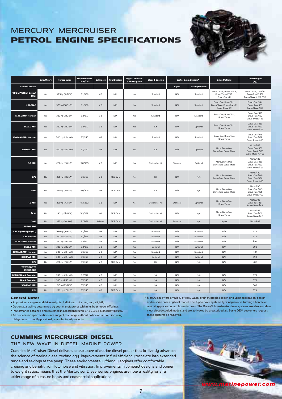# MERCURY MERCRUISER PETROL ENGINE SPECIFICATIONS



|                                      | <b>SmartCraft</b> | Horsepower      | <b>Displacement</b><br>Liter/CID | Cylinders | <b>Fuel System</b> | <b>Digital Throttle</b><br>& Shift Option | <b>Closed-Cooling</b> | <b>Water Drain System*</b> |                      | <b>Drive Options</b>                                                         | <b>Total Weight</b><br>(kg)                                            |
|--------------------------------------|-------------------|-----------------|----------------------------------|-----------|--------------------|-------------------------------------------|-----------------------|----------------------------|----------------------|------------------------------------------------------------------------------|------------------------------------------------------------------------|
| <b>STERNDRIVES</b>                   |                   |                 |                                  |           |                    |                                           |                       | Alpha                      | <b>Bravo/Inboard</b> |                                                                              |                                                                        |
| 496 MAG High Output<br>(HO)          | Yes               | 425 hp (317 kW) | 8.1/496                          | $V-8$     | <b>MPI</b>         | Yes                                       | Standard              | N/A                        | Standard             | Bravo One X, Bravo Two X,<br>Bravo Three X/XR,<br>Bravo One XR               | Bravo One X, XR: 544<br>Bravo Two X: 551<br>Bravo Three X, XR: 556     |
| <b>496 MAG</b>                       | Yes               | 375 hp (280 kW) | 8.1/496                          | $V-8$     | <b>MPI</b>         | Yes                                       | Standard              | N/A                        | Standard             | Bravo One, Bravo Two,<br>Bravo Three, Bravo One XR,<br><b>Bravo Three XR</b> | Bravo One: 544<br>Bravo Two: 553<br>Bravo Three: 557                   |
| MX6.2 MPI Horizon                    | Yes               | 320 hp (239 kW) | 6.2/377                          | $V-8$     | <b>MPI</b>         | Yes                                       | Standard              | N/A                        | Standard             | Bravo One, Bravo Two,<br>Bravo Three                                         | Bravo One: 475<br>Bravo Two: 482<br>Bravo Three: 486                   |
| <b>MX6.2 MPI</b>                     | Yes               | 320 hp (239 kW) | 6.2/377                          | $V-8$     | <b>MPI</b>         | Yes                                       | Kit                   | N/A                        | Optional             | Bravo One, Bravo Two,<br><b>Bravo Three</b>                                  | Bravo One: 451<br>Bravo Two: 459<br>Bravo Three: 463                   |
| 350 MAG MPI Horizon                  | Yes               | 300 hp (224 kW) | 5.7/350                          | $V-8$     | <b>MPI</b>         | Yes                                       | Standard              | N/A                        | Standard             | Bravo One, Bravo Two,<br><b>Bravo Three</b>                                  | Bravo One: 475<br>Bravo Two: 482<br>Bravo Three: 486                   |
| 350 MAG MPI                          | Yes               | 300 hp (224 kW) | 5.7/350                          | $V-8$     | <b>MPI</b>         | Yes                                       | Kit                   | N/A                        | Optional             | Alpha, Bravo One,<br>Bravo Two, Bravo Three                                  | Alpha: 433<br>Bravo One: 451<br>Bravo Two X: 459<br>Bravo Three X: 463 |
| <b>5.0 MPI</b>                       | Yes               | 260 hp (194 kW) | 5.0/305                          | $V-8$     | <b>MPI</b>         | Yes                                       | Optional or Kit       | Standard                   | Optional             | Alpha, Bravo One,<br>Bravo Two, Bravo Three                                  | Alpha: 433<br>Bravo One: 451<br>Bravo Two: 459<br>Bravo Three: 463     |
| 5.71                                 | No                | 250 hp (186 kW) | 5.7/350                          | $V-8$     | TKS Carb           | No                                        | Kit                   | N/A                        | N/A                  | Alpha, Bravo One,<br>Bravo Two, Bravo Three                                  | Alpha: 430<br>Bravo One: 449<br>Bravo Two: 456<br>Bravo Three: 460     |
| <b>5.OL</b>                          | No                | 220 hp (164 kW) | 5.0/305                          | $V-8$     | TKS Carb           | No                                        | Kit                   | N/A                        | N/A                  | Alpha, Bravo One,<br>Bravo Two, Bravo Three                                  | Alpha: 430<br>Bravo One: 449<br>Bravo Two: 456<br>Bravo Three: 460     |
| <b>4.3 MPI</b>                       | Yes               | 220 hp (164 kW) | 4.3/262                          | $V - 6$   | <b>MPI</b>         | No                                        | Optional or Kit       | Standard                   | Optional             | Alpha, Bravo Two,<br><b>Bravo Three</b>                                      | Alpha: 393<br>Bravo Two: 414<br>Bravo Three: 419                       |
| 4.3L                                 | No                | 190 hp (142 kW) | 4.3/262                          | $V-6$     | TKS Carb           | No                                        | Optional or Kit       | N/A                        | N/A                  | Alpha, Bravo Two,<br>Bravo Three                                             | Alpha: 385<br>Bravo Two: 405<br>Bravo Three: 410                       |
| 3.OL                                 | No                | 135 hp (101 kW) | 3.0/181                          | Inline-4  | TKS Carb           | No                                        | Optional or Kit       | Standard                   | N/A                  | Alpha                                                                        | Alpha: 288                                                             |
| <b>INBOARDS</b>                      |                   |                 |                                  |           |                    |                                           |                       |                            |                      |                                                                              |                                                                        |
| 8.15 High Output (HO)                | Yes               | 420 hp (313 kW) | 8.1/496                          | $V-8$     | <b>MPI</b>         | Yes                                       | Standard              | N/A                        | Standard             | N/A                                                                          | 513                                                                    |
| 8.15 Horizon                         | Yes               | 370 hp (276 kW) | 8.1/496                          | $V - B$   | <b>MPI</b>         | Yes                                       | Standard              | N/A                        | Standard             | N/A                                                                          | 513                                                                    |
| MX6.2 MPI Horizon                    | Yes               | 320 hp (239 kW) | 6.2/377                          | $V-8$     | <b>MPI</b>         | Yes                                       | Standard              | N/A                        | Standard             | N/A                                                                          | 431                                                                    |
| <b>MX6.2 MPI</b>                     | Yes               | 320 hp (239 kW) | 6.2/377                          | $V-8$     | <b>MPI</b>         | Yes                                       | Optional              | N/A                        | Optional             | N/A                                                                          | 390                                                                    |
| 350 MAG MPI Horizon                  | Yes               | 300 hp (224 kW) | 5.7/350                          | $V-8$     | <b>MPI</b>         | Yes                                       | Standard              | N/A                        | Standard             | N/A                                                                          | 427                                                                    |
| 350 MAG MPI                          | Yes               | 300 hp (224 kW) | 5.7/350                          | $V-8$     | <b>MPI</b>         | Yes                                       | Optional              | N/A                        | Optional             | N/A                                                                          | 390                                                                    |
| 5.71                                 | No                | 260 hp (194 kW) | 5.7/350                          | $V-8$     | TKS Carb           | No                                        | Kit                   | N/A                        | N/A                  | N/A                                                                          | 400                                                                    |
| <b>TOW SPORTS</b><br><b>INBOARDS</b> |                   |                 |                                  |           |                    |                                           |                       |                            |                      |                                                                              |                                                                        |
| <b>MX 6.2 Black Scorpion</b>         | Yes               | 340 hp (254 kW) | 6.2/377                          | $V-8$     | <b>MPI</b>         | No                                        | N/A                   | N/A                        | N/A                  | N/A                                                                          | 373                                                                    |
| <b>Black Scorpion</b>                | Yes               | 330 hp (246 kW) | 5.7/350                          | $V-8$     | <b>MPI</b>         | No                                        | N/A                   | N/A                        | N/A                  | N/A                                                                          | 373                                                                    |
| 350 MAG MPI                          | Yes               | 315 hp (235 kW) | 5.7/350                          | $V-8$     | <b>MPI</b>         | No                                        | N/A                   | N/A                        | N/A                  | N/A                                                                          | 369                                                                    |
| 5.7L                                 | No                | 270 hp (201 kW) | 5.7/350                          | $V-8$     | TKS Carb           | No                                        | N/A                   | N/A                        | N/A                  | N/A                                                                          | 379                                                                    |

#### General Notes

• Approximate engine and drive weights. Individual units may vary slightly.

• Option availability determined by boat manufacturer within its boat model offerings.

• Performance obtained and corrected in accordance with SAE J1228 crankshaft power.

• All models and specifications are subject to change without notice or without incurring obligations to modify previously manufactured products.

\* MerCruiser offers a variety of easy water drain strategies depending upon application, design and in some cases by boat model. The Alpha drain systems typically involve turning a handle or removing quick-connect hoses to drain. The Bravo/Inboard water drain systems are also found on most closed-cooled models and are activated by pressurized air. Some OEM customers request these systems be removed.

## CUMMINS MERCRUISER DIESEL

#### THE NEW WAVE IN DIESEL MARINE POWER

Cummins MerCruiser Diesel delivers a new wave of marine diesel power that brilliantly advances the science of marine diesel technology. Improvements in fuel efficiency translate into extended range and savings at the pump. These environmentally friendly engines offer comfortable cruising and benefit from low noise and vibration. Improvements in compact designs and power to weight ratios, means that the MerCruiser Diesel series engines are now a reality for a far wider range of pleasure boats and commercial applications.